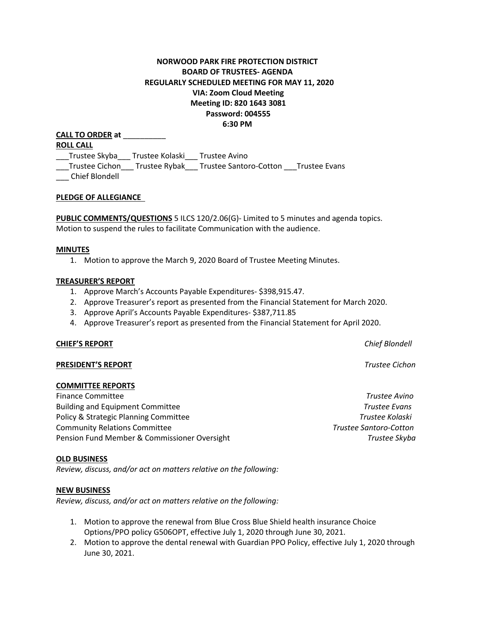# **NORWOOD PARK FIRE PROTECTION DISTRICT BOARD OF TRUSTEES- AGENDA REGULARLY SCHEDULED MEETING FOR MAY 11, 2020 VIA: Zoom Cloud Meeting Meeting ID: 820 1643 3081 Password: 004555 6:30 PM**

**CALL TO ORDER at** \_\_\_\_\_\_\_\_\_\_ **ROLL CALL** \_\_\_Trustee Skyba\_\_\_ Trustee Kolaski\_\_\_ Trustee Avino \_\_\_Trustee Cichon\_\_\_ Trustee Rybak\_\_\_ Trustee Santoro-Cotton \_\_\_Trustee Evans \_\_\_ Chief Blondell

# **PLEDGE OF ALLEGIANCE**

**PUBLIC COMMENTS/QUESTIONS** 5 ILCS 120/2.06(G)- Limited to 5 minutes and agenda topics. Motion to suspend the rules to facilitate Communication with the audience.

#### **MINUTES**

1. Motion to approve the March 9, 2020 Board of Trustee Meeting Minutes.

## **TREASURER'S REPORT**

- 1. Approve March's Accounts Payable Expenditures- \$398,915.47.
- 2. Approve Treasurer's report as presented from the Financial Statement for March 2020.
- 3. Approve April's Accounts Payable Expenditures- \$387,711.85
- 4. Approve Treasurer's report as presented from the Financial Statement for April 2020.

#### **CHIEF'S REPORT** *Chief Blondell*

#### **PRESIDENT'S REPORT** *Trustee Cichon*

## **COMMITTEE REPORTS**

Finance Committee *Trustee Avino* Building and Equipment Committee *Trustee Evans* Policy & Strategic Planning Committee *Trustee Kolaski* Community Relations Committee *Trustee Santoro-Cotton*  Pension Fund Member & Commissioner Oversight *Trustee Skyba*

#### **OLD BUSINESS**

*Review, discuss, and/or act on matters relative on the following:*

## **NEW BUSINESS**

*Review, discuss, and/or act on matters relative on the following:*

- 1. Motion to approve the renewal from Blue Cross Blue Shield health insurance Choice Options/PPO policy G506OPT, effective July 1, 2020 through June 30, 2021.
- 2. Motion to approve the dental renewal with Guardian PPO Policy, effective July 1, 2020 through June 30, 2021.